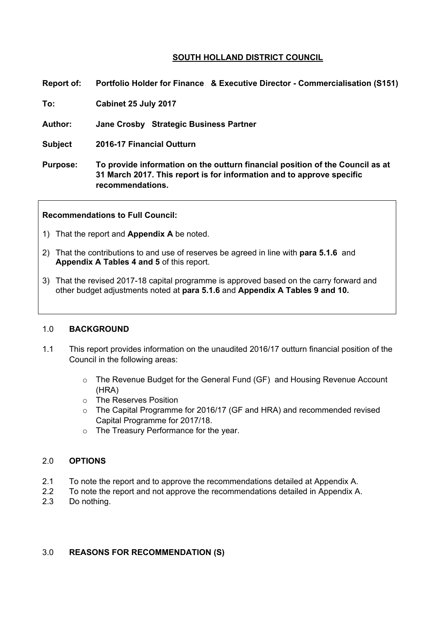## **SOUTH HOLLAND DISTRICT COUNCIL**

**Report of: Portfolio Holder for Finance & Executive Director - Commercialisation (S151)** 

**To: Cabinet 25 July 2017** 

**Author: Jane Crosby Strategic Business Partner**

**Subject 2016-17 Financial Outturn**

**Purpose: To provide information on the outturn financial position of the Council as at 31 March 2017. This report is for information and to approve specific recommendations.**

**Recommendations to Full Council:**

- 1) That the report and **Appendix A** be noted.
- 2) That the contributions to and use of reserves be agreed in line with **para 5.1.6** and **Appendix A Tables 4 and 5** of this report.
- 3) That the revised 2017-18 capital programme is approved based on the carry forward and other budget adjustments noted at **para 5.1.6** and **Appendix A Tables 9 and 10.**

#### 1.0 **BACKGROUND**

- 1.1 This report provides information on the unaudited 2016/17 outturn financial position of the Council in the following areas:
	- o The Revenue Budget for the General Fund (GF) and Housing Revenue Account (HRA)
	- o The Reserves Position
	- o The Capital Programme for 2016/17 (GF and HRA) and recommended revised Capital Programme for 2017/18.
	- o The Treasury Performance for the year.

#### 2.0 **OPTIONS**

- 2.1 To note the report and to approve the recommendations detailed at Appendix A.
- 2.2 To note the report and not approve the recommendations detailed in Appendix A.
- 2.3 Do nothing.

### 3.0 **REASONS FOR RECOMMENDATION (S)**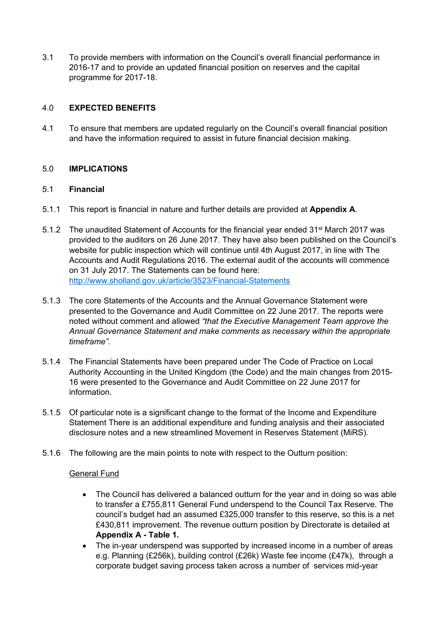3.1 To provide members with information on the Council's overall financial performance in 2016-17 and to provide an updated financial position on reserves and the capital programme for 2017-18.

## 4.0 **EXPECTED BENEFITS**

4.1 To ensure that members are updated regularly on the Council's overall financial position and have the information required to assist in future financial decision making.

### 5.0 **IMPLICATIONS**

### 5.1 **Financial**

- 5.1.1 This report is financial in nature and further details are provided at **Appendix A**.
- 5.1.2 The unaudited Statement of Accounts for the financial year ended 31<sup>st</sup> March 2017 was provided to the auditors on 26 June 2017. They have also been published on the Council's website for public inspection which will continue until 4th August 2017, in line with The Accounts and Audit Regulations 2016. The external audit of the accounts will commence on 31 July 2017. The Statements can be found here: <http://www.sholland.gov.uk/article/3523/Financial-Statements>
- 5.1.3 The core Statements of the Accounts and the Annual Governance Statement were presented to the Governance and Audit Committee on 22 June 2017. The reports were noted without comment and allowed *"that the Executive Management Team approve the Annual Governance Statement and make comments as necessary within the appropriate timeframe".*
- 5.1.4 The Financial Statements have been prepared under The Code of Practice on Local Authority Accounting in the United Kingdom (the Code) and the main changes from 2015- 16 were presented to the Governance and Audit Committee on 22 June 2017 for information.
- 5.1.5 Of particular note is a significant change to the format of the Income and Expenditure Statement There is an additional expenditure and funding analysis and their associated disclosure notes and a new streamlined Movement in Reserves Statement (MiRS).
- 5.1.6 The following are the main points to note with respect to the Outturn position:

### General Fund

- The Council has delivered a balanced outturn for the year and in doing so was able to transfer a £755,811 General Fund underspend to the Council Tax Reserve. The council's budget had an assumed £325,000 transfer to this reserve, so this is a net £430,811 improvement. The revenue outturn position by Directorate is detailed at **Appendix A - Table 1.**
- The in-year underspend was supported by increased income in a number of areas e.g. Planning (£256k), building control (£26k) Waste fee income (£47k), through a corporate budget saving process taken across a number of services mid-year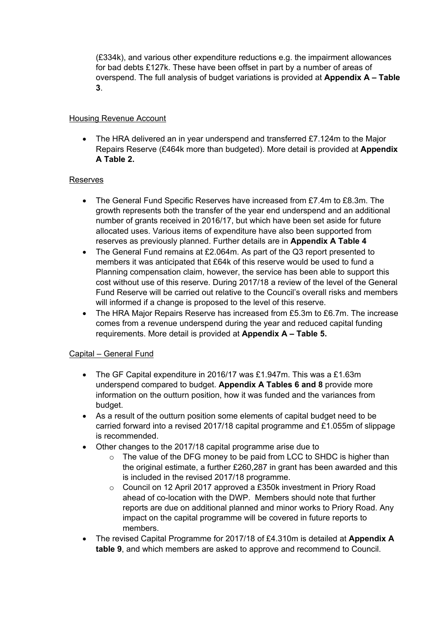(£334k), and various other expenditure reductions e.g. the impairment allowances for bad debts £127k. These have been offset in part by a number of areas of overspend. The full analysis of budget variations is provided at **Appendix A – Table 3**.

## Housing Revenue Account

 The HRA delivered an in year underspend and transferred £7.124m to the Major Repairs Reserve (£464k more than budgeted). More detail is provided at **Appendix A Table 2.**

### Reserves

- The General Fund Specific Reserves have increased from £7.4m to £8.3m. The growth represents both the transfer of the year end underspend and an additional number of grants received in 2016/17, but which have been set aside for future allocated uses. Various items of expenditure have also been supported from reserves as previously planned. Further details are in **Appendix A Table 4**
- The General Fund remains at £2.064m. As part of the Q3 report presented to members it was anticipated that £64k of this reserve would be used to fund a Planning compensation claim, however, the service has been able to support this cost without use of this reserve. During 2017/18 a review of the level of the General Fund Reserve will be carried out relative to the Council's overall risks and members will informed if a change is proposed to the level of this reserve.
- The HRA Major Repairs Reserve has increased from £5.3m to £6.7m. The increase comes from a revenue underspend during the year and reduced capital funding requirements. More detail is provided at **Appendix A – Table 5.**

## Capital – General Fund

- The GF Capital expenditure in 2016/17 was £1.947m. This was a £1.63m underspend compared to budget. **Appendix A Tables 6 and 8** provide more information on the outturn position, how it was funded and the variances from budget.
- As a result of the outturn position some elements of capital budget need to be carried forward into a revised 2017/18 capital programme and £1.055m of slippage is recommended.
- Other changes to the 2017/18 capital programme arise due to
	- o The value of the DFG money to be paid from LCC to SHDC is higher than the original estimate, a further £260,287 in grant has been awarded and this is included in the revised 2017/18 programme.
	- o Council on 12 April 2017 approved a £350k investment in Priory Road ahead of co-location with the DWP. Members should note that further reports are due on additional planned and minor works to Priory Road. Any impact on the capital programme will be covered in future reports to members.
- The revised Capital Programme for 2017/18 of £4.310m is detailed at **Appendix A table 9**, and which members are asked to approve and recommend to Council.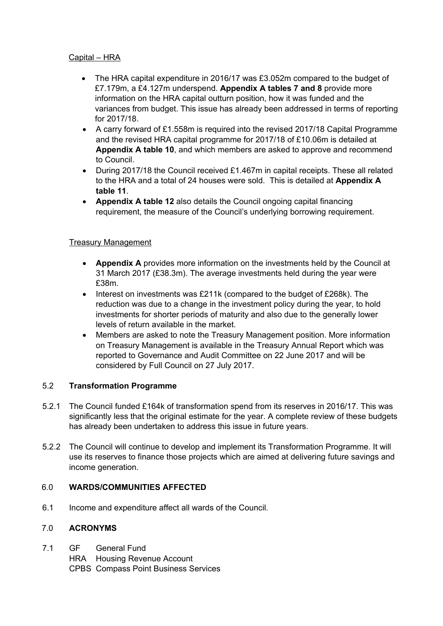## Capital – HRA

- The HRA capital expenditure in 2016/17 was £3.052m compared to the budget of £7.179m, a £4.127m underspend. **Appendix A tables 7 and 8** provide more information on the HRA capital outturn position, how it was funded and the variances from budget. This issue has already been addressed in terms of reporting for 2017/18.
- A carry forward of £1.558m is required into the revised 2017/18 Capital Programme and the revised HRA capital programme for 2017/18 of £10.06m is detailed at **Appendix A table 10**, and which members are asked to approve and recommend to Council.
- During 2017/18 the Council received £1.467m in capital receipts. These all related to the HRA and a total of 24 houses were sold. This is detailed at **Appendix A table 11**.
- **Appendix A table 12** also details the Council ongoing capital financing requirement, the measure of the Council's underlying borrowing requirement.

## Treasury Management

- **Appendix A** provides more information on the investments held by the Council at 31 March 2017 (£38.3m). The average investments held during the year were £38m.
- Interest on investments was £211k (compared to the budget of £268k). The reduction was due to a change in the investment policy during the year, to hold investments for shorter periods of maturity and also due to the generally lower levels of return available in the market.
- Members are asked to note the Treasury Management position. More information on Treasury Management is available in the Treasury Annual Report which was reported to Governance and Audit Committee on 22 June 2017 and will be considered by Full Council on 27 July 2017.

## 5.2 **Transformation Programme**

- 5.2.1 The Council funded £164k of transformation spend from its reserves in 2016/17. This was significantly less that the original estimate for the year. A complete review of these budgets has already been undertaken to address this issue in future years.
- 5.2.2 The Council will continue to develop and implement its Transformation Programme. It will use its reserves to finance those projects which are aimed at delivering future savings and income generation.

### 6.0 **WARDS/COMMUNITIES AFFECTED**

6.1 Income and expenditure affect all wards of the Council.

### 7.0 **ACRONYMS**

- 7.1 GF General Fund
	- HRA Housing Revenue Account
	- CPBS Compass Point Business Services